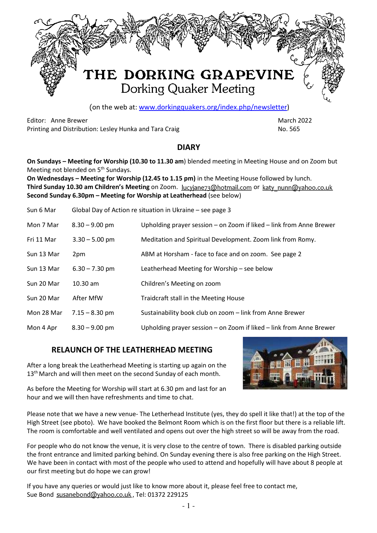

(on the web at: www.dorkingquakers.org/index.php/newsletter)

Editor: Anne Brewer March 2022 - Anne Brewer March 2022 - March 2022 - March 2022 Printing and Distribution: Lesley Hunka and Tara Craig No. 2005 1997 No. 565

#### **DIARY**

**On Sundays – Meeting for Worship (10.30 to 11.30 am**) blended meeting in Meeting House and on Zoom but Meeting not blended on 5<sup>th</sup> Sundays.

**On Wednesdays – Meeting for Worship (12.45 to 1.15 pm)** in the Meeting House followed by lunch. **Third Sunday 10.30 am Children's Meeting** on Zoom. lucyjane73@hotmail.com or katy nunn@yahoo.co.uk **Second Sunday 6.30pm – Meeting for Worship at Leatherhead** (see below)

| Sun 6 Mar  |                  | Global Day of Action re situation in Ukraine – see page 3           |
|------------|------------------|---------------------------------------------------------------------|
| Mon 7 Mar  | $8.30 - 9.00$ pm | Upholding prayer session - on Zoom if liked - link from Anne Brewer |
| Fri 11 Mar | $3.30 - 5.00$ pm | Meditation and Spiritual Development. Zoom link from Romy.          |
| Sun 13 Mar | 2pm              | ABM at Horsham - face to face and on zoom. See page 2               |
| Sun 13 Mar | $6.30 - 7.30$ pm | Leatherhead Meeting for Worship - see below                         |
| Sun 20 Mar | $10.30$ am       | Children's Meeting on zoom                                          |
| Sun 20 Mar | After MfW        | Traidcraft stall in the Meeting House                               |
| Mon 28 Mar | $7.15 - 8.30$ pm | Sustainability book club on zoom - link from Anne Brewer            |
| Mon 4 Apr  | $8.30 - 9.00$ pm | Upholding prayer session - on Zoom if liked - link from Anne Brewer |

### **RELAUNCH OF THE LEATHERHEAD MEETING**

After a long break the Leatherhead Meeting is starting up again on the 13<sup>th</sup> March and will then meet on the second Sunday of each month.



As before the Meeting for Worship will start at 6.30 pm and last for an hour and we will then have refreshments and time to chat.

Please note that we have a new venue- The Letherhead Institute (yes, they do spell it like that!) at the top of the High Street (see pboto). We have booked the Belmont Room which is on the first floor but there is a reliable lift. The room is comfortable and well ventilated and opens out over the high street so will be away from the road.

For people who do not know the venue, it is very close to the centre of town. There is disabled parking outside the front entrance and limited parking behind. On Sunday evening there is also free parking on the High Street. We have been in contact with most of the people who used to attend and hopefully will have about 8 people at our first meeting but do hope we can grow!

If you have any queries or would just like to know more about it, please feel free to contact me, Sue Bond susanebond@yahoo.co.uk, Tel: 01372 229125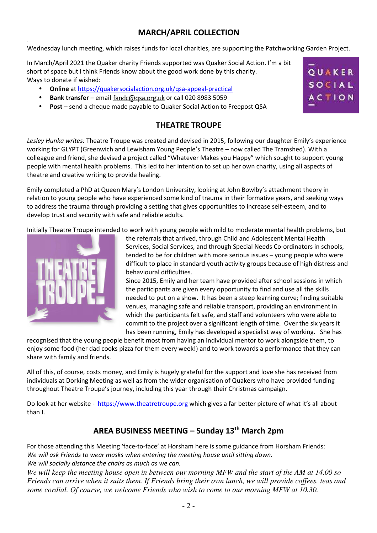# **MARCH/APRIL COLLECTION**

Wednesday lunch meeting, which raises funds for local charities, are supporting the Patchworking Garden Project.

In March/April 2021 the Quaker charity Friends supported was Quaker Social Action. I'm a bit short of space but I think Friends know about the good work done by this charity. Ways to donate if wished:

- **Online** at https://quakersocialaction.org.uk/qsa-appeal-practical
- **Bank transfer** email fandc@qsa.org.uk or call 020 8983 5059
- **Post** send a cheque made payable to Quaker Social Action to Freepost QSA

# **THEATRE TROUPE**

*Lesley Hunka writes:* Theatre Troupe was created and devised in 2015, following our daughter Emily's experience working for GLYPT (Greenwich and Lewisham Young People's Theatre – now called The Tramshed). With a colleague and friend, she devised a project called "Whatever Makes you Happy" which sought to support young people with mental health problems. This led to her intention to set up her own charity, using all aspects of theatre and creative writing to provide healing.

Emily completed a PhD at Queen Mary's London University, looking at John Bowlby's attachment theory in relation to young people who have experienced some kind of trauma in their formative years, and seeking ways to address the trauma through providing a setting that gives opportunities to increase self-esteem, and to develop trust and security with safe and reliable adults.

Initially Theatre Troupe intended to work with young people with mild to moderate mental health problems, but



.

the referrals that arrived, through Child and Adolescent Mental Health Services, Social Services, and through Special Needs Co-ordinators in schools, tended to be for children with more serious issues – young people who were difficult to place in standard youth activity groups because of high distress and behavioural difficulties.

Since 2015, Emily and her team have provided after school sessions in which the participants are given every opportunity to find and use all the skills needed to put on a show. It has been a steep learning curve; finding suitable venues, managing safe and reliable transport, providing an environment in which the participants felt safe, and staff and volunteers who were able to commit to the project over a significant length of time. Over the six years it has been running, Emily has developed a specialist way of working. She has

recognised that the young people benefit most from having an individual mentor to work alongside them, to enjoy some food (her dad cooks pizza for them every week!) and to work towards a performance that they can share with family and friends.

All of this, of course, costs money, and Emily is hugely grateful for the support and love she has received from individuals at Dorking Meeting as well as from the wider organisation of Quakers who have provided funding throughout Theatre Troupe's journey, including this year through their Christmas campaign.

Do look at her website - https://www.theatretroupe.org which gives a far better picture of what it's all about than I.

# **AREA BUSINESS MEETING – Sunday 13th March 2pm**

For those attending this Meeting 'face-to-face' at Horsham here is some guidance from Horsham Friends: *We will ask Friends to wear masks when entering the meeting house until sitting down. We will socially distance the chairs as much as we can.*

*We will keep the meeting house open in between our morning MFW and the start of the AM at 14.00 so Friends can arrive when it suits them. If Friends bring their own lunch, we will provide coffees, teas and some cordial. Of course, we welcome Friends who wish to come to our morning MFW at 10.30.*

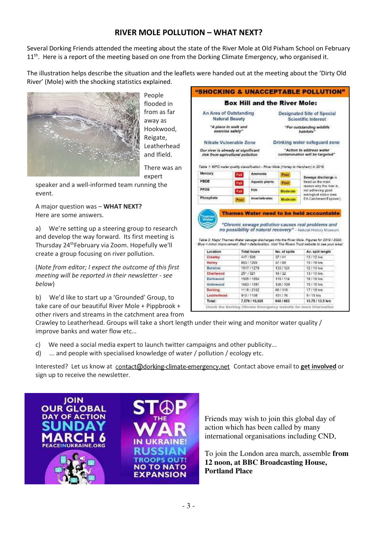### **RIVER MOLE POLLUTION – WHAT NEXT?**

Several Dorking Friends attended the meeting about the state of the River Mole at Old Pixham School on February  $11<sup>th</sup>$ . Here is a report of the meeting based on one from the Dorking Climate Emergency, who organised it.

The illustration helps describe the situation and the leaflets were handed out at the meeting about the 'Dirty Old River' (Mole) with the shocking statistics explained.



People flooded in from as far away as Hookwood, Reigate, Leatherhead and Ifield.

There was an expert

speaker and a well-informed team running the event.

A major question was – **WHAT NEXT?** Here are some answers.

a) We're setting up a steering group to research and develop the way forward. Its first meeting is Thursday 24thFebruary via Zoom. Hopefully we'll create a group focusing on river pollution.

(*Note from editor; I expect the outcome of this first meeting will be reported in their newsletter - see below*)

b) We'd like to start up a 'Grounded' Group, to take care of our beautiful River Mole + Pippbrook + other rivers and streams in the catchment area from

|                                                                          |      |                           | <b>Box Hill and the River Mole:</b>                                                 |                                                                                                                                                                                                                                                                                            |
|--------------------------------------------------------------------------|------|---------------------------|-------------------------------------------------------------------------------------|--------------------------------------------------------------------------------------------------------------------------------------------------------------------------------------------------------------------------------------------------------------------------------------------|
| An Area of Outstanding<br><b>Natural Beauty</b>                          |      |                           | Designated Site of Special<br><b>Scientific Interest</b>                            |                                                                                                                                                                                                                                                                                            |
| "A place to walk and<br>exercise safely"                                 |      |                           | "For outstanding wildlife<br>habitats"                                              |                                                                                                                                                                                                                                                                                            |
| Nitrate Vulnerable Zone                                                  |      |                           |                                                                                     | Drinking water safeguard zone                                                                                                                                                                                                                                                              |
| Our river is already at significant<br>risk from agricultural pollution. |      |                           |                                                                                     | "Action to address water<br>contamination will be targeted"                                                                                                                                                                                                                                |
| Mercury                                                                  |      | Ammonia                   | Table 1: WFD water quality classification - River Mole (Horley to Hersham) in 2019. |                                                                                                                                                                                                                                                                                            |
|                                                                          | Fail |                           | Poor                                                                                | Sewage discharge is                                                                                                                                                                                                                                                                        |
| PBDE                                                                     | Feil | Aquatic plants.           | Poor                                                                                | listed as the main                                                                                                                                                                                                                                                                         |
| PFO <sub>8</sub>                                                         | Fail | Fish                      | Moderate                                                                            | reason why the river is.<br>not achievino cood                                                                                                                                                                                                                                             |
|                                                                          |      |                           |                                                                                     | ecological status (see                                                                                                                                                                                                                                                                     |
| Phosphate                                                                | Poor | <b>Invertebrates</b>      | Moderate                                                                            | EA Catchment Explorer)<br>Thames Water need to be held accountable                                                                                                                                                                                                                         |
|                                                                          |      |                           |                                                                                     |                                                                                                                                                                                                                                                                                            |
| Location                                                                 |      | <b>Total hours</b>        | No. of spills                                                                       | "Chronic sewage pollution causes real problems and<br>Av. spill length                                                                                                                                                                                                                     |
| Crawley                                                                  |      | 447 / 508                 | 37/41                                                                               | 13 / 12 hrs                                                                                                                                                                                                                                                                                |
| Horiey                                                                   |      | 853 / 1265                | 57/69                                                                               | 15 / 18 hrs                                                                                                                                                                                                                                                                                |
| Burstow                                                                  |      | 1547 / 1279               | 133 / 124                                                                           | 12 / 10 hrs                                                                                                                                                                                                                                                                                |
| Cheriwood                                                                |      | 251 / 321                 | 19/32                                                                               | 13 / 10 hrs.                                                                                                                                                                                                                                                                               |
| Earlswood                                                                |      | 1905 (1854)               | 119/114                                                                             | 16:16 hrs                                                                                                                                                                                                                                                                                  |
| Holmwood                                                                 |      | 1683 / 1591               | 108 / 109                                                                           | 15 / 15 hrs                                                                                                                                                                                                                                                                                |
| Dorking<br>Leatherhead                                                   |      | 1118 / 2102<br>910 / 1108 | 667118<br>101/76                                                                    | no possibility of natural recovery" - Natural History Museum<br>Table 2: Major Thames Water sewage discharges into the River Mole. Figures for 2019 / 2020.<br>Blue = minor improvement. Red = deterioration. Visit The Rivers Trust website to see your ereal<br>17 / 18 hm<br>$9/15$ hrs |

Crawley to Leatherhead. Groups will take a short length under their wing and monitor water quality / improve banks and water flow etc…

- c) We need a social media expert to launch twitter campaigns and other publicity...
- d) ... and people with specialised knowledge of water / pollution / ecology etc.

Interested? Let us know at contact@dorking-climate-emergency.net Contact above email to get involved or sign up to receive the newsletter.



Friends may wish to join this global day of action which has been called by many international organisations including CND,

To join the London area march, assemble **from 12 noon, at BBC Broadcasting House, Portland Place**